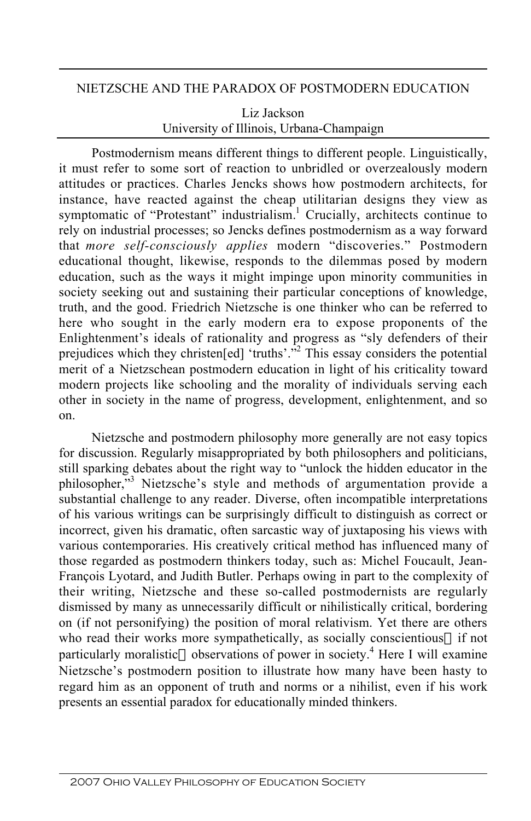# NIETZSCHE AND THE PARADOX OF POSTMODERN EDUCATION

# Liz Jackson University of Illinois, Urbana-Champaign

Postmodernism means different things to different people. Linguistically, it must refer to some sort of reaction to unbridled or overzealously modern attitudes or practices. Charles Jencks shows how postmodern architects, for instance, have reacted against the cheap utilitarian designs they view as symptomatic of "Protestant" industrialism.<sup>1</sup> Crucially, architects continue to rely on industrial processes; so Jencks defines postmodernism as a way forward that *more self-consciously applies* modern "discoveries." Postmodern educational thought, likewise, responds to the dilemmas posed by modern education, such as the ways it might impinge upon minority communities in society seeking out and sustaining their particular conceptions of knowledge, truth, and the good. Friedrich Nietzsche is one thinker who can be referred to here who sought in the early modern era to expose proponents of the Enlightenment's ideals of rationality and progress as "sly defenders of their prejudices which they christen[ed] 'truths'."2 This essay considers the potential merit of a Nietzschean postmodern education in light of his criticality toward modern projects like schooling and the morality of individuals serving each other in society in the name of progress, development, enlightenment, and so on.

Nietzsche and postmodern philosophy more generally are not easy topics for discussion. Regularly misappropriated by both philosophers and politicians, still sparking debates about the right way to "unlock the hidden educator in the philosopher,"3 Nietzsche's style and methods of argumentation provide a substantial challenge to any reader. Diverse, often incompatible interpretations of his various writings can be surprisingly difficult to distinguish as correct or incorrect, given his dramatic, often sarcastic way of juxtaposing his views with various contemporaries. His creatively critical method has influenced many of those regarded as postmodern thinkers today, such as: Michel Foucault, Jean-François Lyotard, and Judith Butler. Perhaps owing in part to the complexity of their writing, Nietzsche and these so-called postmodernists are regularly dismissed by many as unnecessarily difficult or nihilistically critical, bordering on (if not personifying) the position of moral relativism. Yet there are others who read their works more sympathetically, as socially conscientious—if not particularly moralistic—observations of power in society.<sup>4</sup> Here I will examine Nietzsche's postmodern position to illustrate how many have been hasty to regard him as an opponent of truth and norms or a nihilist, even if his work presents an essential paradox for educationally minded thinkers.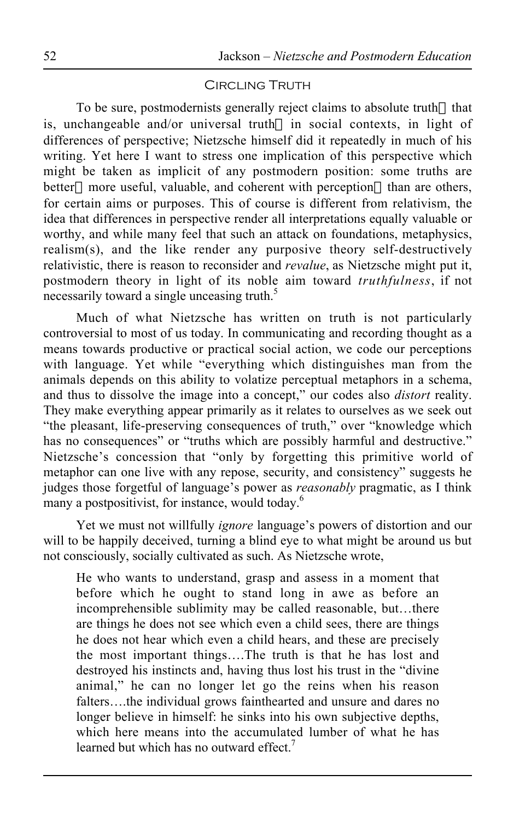## Circling Truth

To be sure, postmodernists generally reject claims to absolute truth—that is, unchangeable and/or universal truth-in social contexts, in light of differences of perspective; Nietzsche himself did it repeatedly in much of his writing. Yet here I want to stress one implication of this perspective which might be taken as implicit of any postmodern position: some truths are better—more useful, valuable, and coherent with perception—than are others, for certain aims or purposes. This of course is different from relativism, the idea that differences in perspective render all interpretations equally valuable or worthy, and while many feel that such an attack on foundations, metaphysics, realism(s), and the like render any purposive theory self-destructively relativistic, there is reason to reconsider and *revalue*, as Nietzsche might put it, postmodern theory in light of its noble aim toward *truthfulness*, if not necessarily toward a single unceasing truth.<sup>5</sup>

Much of what Nietzsche has written on truth is not particularly controversial to most of us today. In communicating and recording thought as a means towards productive or practical social action, we code our perceptions with language. Yet while "everything which distinguishes man from the animals depends on this ability to volatize perceptual metaphors in a schema, and thus to dissolve the image into a concept," our codes also *distort* reality. They make everything appear primarily as it relates to ourselves as we seek out "the pleasant, life-preserving consequences of truth," over "knowledge which has no consequences" or "truths which are possibly harmful and destructive." Nietzsche's concession that "only by forgetting this primitive world of metaphor can one live with any repose, security, and consistency" suggests he judges those forgetful of language's power as *reasonably* pragmatic, as I think many a postpositivist, for instance, would today.6

Yet we must not willfully *ignore* language's powers of distortion and our will to be happily deceived, turning a blind eye to what might be around us but not consciously, socially cultivated as such. As Nietzsche wrote,

He who wants to understand, grasp and assess in a moment that before which he ought to stand long in awe as before an incomprehensible sublimity may be called reasonable, but…there are things he does not see which even a child sees, there are things he does not hear which even a child hears, and these are precisely the most important things….The truth is that he has lost and destroyed his instincts and, having thus lost his trust in the "divine animal," he can no longer let go the reins when his reason falters….the individual grows fainthearted and unsure and dares no longer believe in himself: he sinks into his own subjective depths, which here means into the accumulated lumber of what he has learned but which has no outward effect.<sup>7</sup>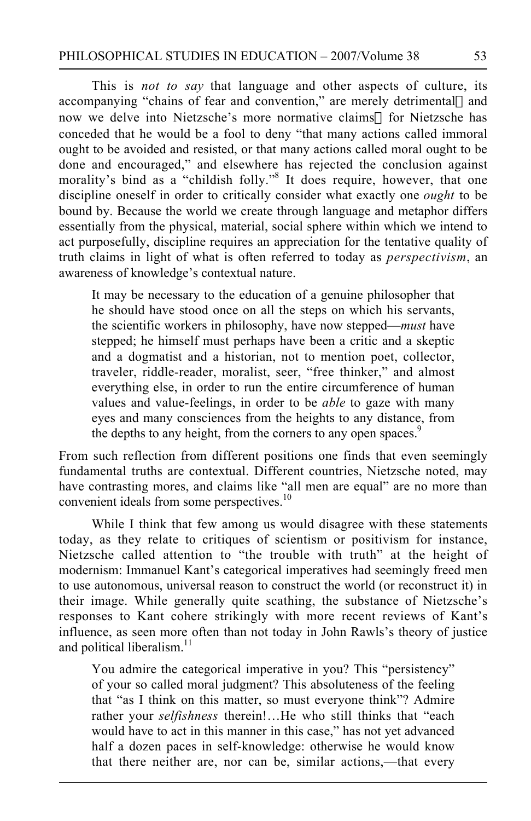This is *not to say* that language and other aspects of culture, its accompanying "chains of fear and convention," are merely detrimental—and now we delve into Nietzsche's more normative claims—for Nietzsche has conceded that he would be a fool to deny "that many actions called immoral ought to be avoided and resisted, or that many actions called moral ought to be done and encouraged," and elsewhere has rejected the conclusion against morality's bind as a "childish folly."<sup>8</sup> It does require, however, that one discipline oneself in order to critically consider what exactly one *ought* to be bound by. Because the world we create through language and metaphor differs essentially from the physical, material, social sphere within which we intend to act purposefully, discipline requires an appreciation for the tentative quality of truth claims in light of what is often referred to today as *perspectivism*, an awareness of knowledge's contextual nature.

It may be necessary to the education of a genuine philosopher that he should have stood once on all the steps on which his servants, the scientific workers in philosophy, have now stepped—*must* have stepped; he himself must perhaps have been a critic and a skeptic and a dogmatist and a historian, not to mention poet, collector, traveler, riddle-reader, moralist, seer, "free thinker," and almost everything else, in order to run the entire circumference of human values and value-feelings, in order to be *able* to gaze with many eyes and many consciences from the heights to any distance, from the depths to any height, from the corners to any open spaces.<sup>9</sup>

From such reflection from different positions one finds that even seemingly fundamental truths are contextual. Different countries, Nietzsche noted, may have contrasting mores, and claims like "all men are equal" are no more than convenient ideals from some perspectives.<sup>10</sup>

While I think that few among us would disagree with these statements today, as they relate to critiques of scientism or positivism for instance, Nietzsche called attention to "the trouble with truth" at the height of modernism: Immanuel Kant's categorical imperatives had seemingly freed men to use autonomous, universal reason to construct the world (or reconstruct it) in their image. While generally quite scathing, the substance of Nietzsche's responses to Kant cohere strikingly with more recent reviews of Kant's influence, as seen more often than not today in John Rawls's theory of justice and political liberalism.<sup>11</sup>

You admire the categorical imperative in you? This "persistency" of your so called moral judgment? This absoluteness of the feeling that "as I think on this matter, so must everyone think"? Admire rather your *selfishness* therein!…He who still thinks that "each would have to act in this manner in this case," has not yet advanced half a dozen paces in self-knowledge: otherwise he would know that there neither are, nor can be, similar actions,—that every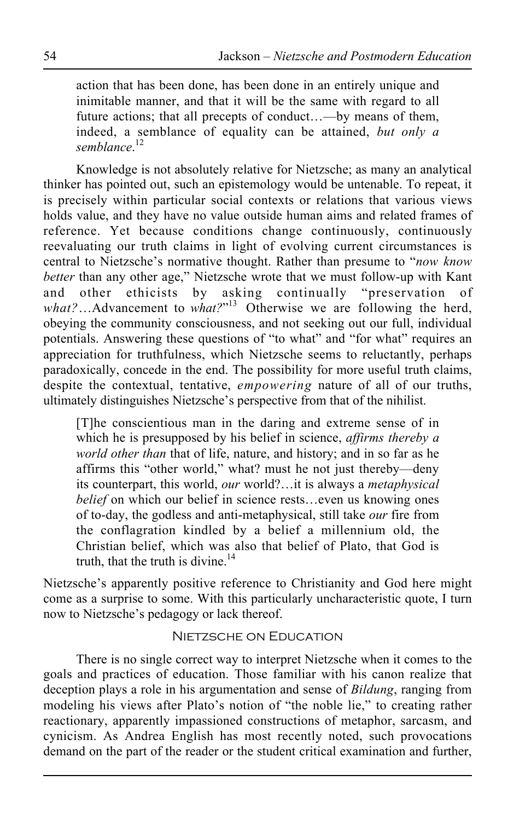action that has been done, has been done in an entirely unique and inimitable manner, and that it will be the same with regard to all future actions; that all precepts of conduct...—by means of them, indeed, a semblance of equality can be attained, *but only a semblance*. 12

Knowledge is not absolutely relative for Nietzsche; as many an analytical thinker has pointed out, such an epistemology would be untenable. To repeat, it is precisely within particular social contexts or relations that various views holds value, and they have no value outside human aims and related frames of reference. Yet because conditions change continuously, continuously reevaluating our truth claims in light of evolving current circumstances is central to Nietzsche's normative thought. Rather than presume to "*now know better* than any other age," Nietzsche wrote that we must follow-up with Kant and other ethicists by asking continually "preservation of *what?*…Advancement to *what?*" <sup>13</sup> Otherwise we are following the herd, obeying the community consciousness, and not seeking out our full, individual potentials. Answering these questions of "to what" and "for what" requires an appreciation for truthfulness, which Nietzsche seems to reluctantly, perhaps paradoxically, concede in the end. The possibility for more useful truth claims, despite the contextual, tentative, *empowering* nature of all of our truths, ultimately distinguishes Nietzsche's perspective from that of the nihilist.

[T]he conscientious man in the daring and extreme sense of in which he is presupposed by his belief in science, *affirms thereby a world other than* that of life, nature, and history; and in so far as he affirms this "other world," what? must he not just thereby—deny its counterpart, this world, *our* world?…it is always a *metaphysical belief* on which our belief in science rests...even us knowing ones of to-day, the godless and anti-metaphysical, still take *our* fire from the conflagration kindled by a belief a millennium old, the Christian belief, which was also that belief of Plato, that God is truth, that the truth is divine. $14$ 

Nietzsche's apparently positive reference to Christianity and God here might come as a surprise to some. With this particularly uncharacteristic quote, I turn now to Nietzsche's pedagogy or lack thereof.

## Nietzsche on Education

There is no single correct way to interpret Nietzsche when it comes to the goals and practices of education. Those familiar with his canon realize that deception plays a role in his argumentation and sense of *Bildung*, ranging from modeling his views after Plato's notion of "the noble lie," to creating rather reactionary, apparently impassioned constructions of metaphor, sarcasm, and cynicism. As Andrea English has most recently noted, such provocations demand on the part of the reader or the student critical examination and further,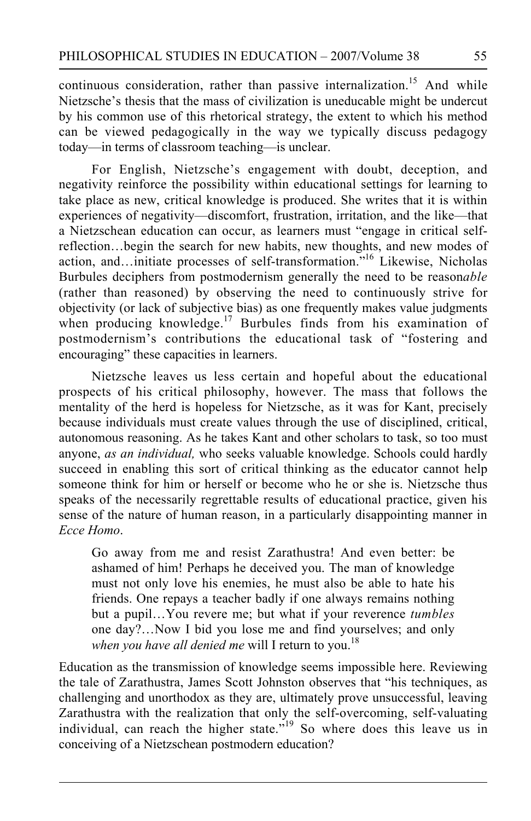continuous consideration, rather than passive internalization.<sup>15</sup> And while Nietzsche's thesis that the mass of civilization is uneducable might be undercut by his common use of this rhetorical strategy, the extent to which his method can be viewed pedagogically in the way we typically discuss pedagogy today—in terms of classroom teaching—is unclear.

For English, Nietzsche's engagement with doubt, deception, and negativity reinforce the possibility within educational settings for learning to take place as new, critical knowledge is produced. She writes that it is within experiences of negativity—discomfort, frustration, irritation, and the like—that a Nietzschean education can occur, as learners must "engage in critical selfreflection…begin the search for new habits, new thoughts, and new modes of action, and…initiate processes of self-transformation."16 Likewise, Nicholas Burbules deciphers from postmodernism generally the need to be reason*able* (rather than reasoned) by observing the need to continuously strive for objectivity (or lack of subjective bias) as one frequently makes value judgments when producing knowledge.<sup>17</sup> Burbules finds from his examination of postmodernism's contributions the educational task of "fostering and encouraging" these capacities in learners.

Nietzsche leaves us less certain and hopeful about the educational prospects of his critical philosophy, however. The mass that follows the mentality of the herd is hopeless for Nietzsche, as it was for Kant, precisely because individuals must create values through the use of disciplined, critical, autonomous reasoning. As he takes Kant and other scholars to task, so too must anyone, *as an individual,* who seeks valuable knowledge. Schools could hardly succeed in enabling this sort of critical thinking as the educator cannot help someone think for him or herself or become who he or she is. Nietzsche thus speaks of the necessarily regrettable results of educational practice, given his sense of the nature of human reason, in a particularly disappointing manner in *Ecce Homo*.

Go away from me and resist Zarathustra! And even better: be ashamed of him! Perhaps he deceived you. The man of knowledge must not only love his enemies, he must also be able to hate his friends. One repays a teacher badly if one always remains nothing but a pupil…You revere me; but what if your reverence *tumbles* one day?…Now I bid you lose me and find yourselves; and only *when you have all denied me* will I return to you.<sup>18</sup>

Education as the transmission of knowledge seems impossible here. Reviewing the tale of Zarathustra, James Scott Johnston observes that "his techniques, as challenging and unorthodox as they are, ultimately prove unsuccessful, leaving Zarathustra with the realization that only the self-overcoming, self-valuating individual, can reach the higher state.<sup>"19</sup> So where does this leave us in conceiving of a Nietzschean postmodern education?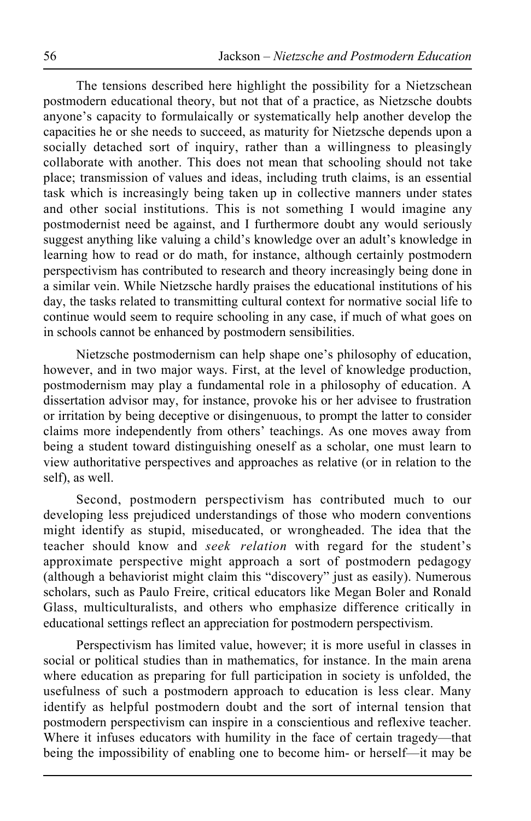The tensions described here highlight the possibility for a Nietzschean postmodern educational theory, but not that of a practice, as Nietzsche doubts anyone's capacity to formulaically or systematically help another develop the capacities he or she needs to succeed, as maturity for Nietzsche depends upon a socially detached sort of inquiry, rather than a willingness to pleasingly collaborate with another. This does not mean that schooling should not take place; transmission of values and ideas, including truth claims, is an essential task which is increasingly being taken up in collective manners under states and other social institutions. This is not something I would imagine any postmodernist need be against, and I furthermore doubt any would seriously suggest anything like valuing a child's knowledge over an adult's knowledge in learning how to read or do math, for instance, although certainly postmodern perspectivism has contributed to research and theory increasingly being done in a similar vein. While Nietzsche hardly praises the educational institutions of his day, the tasks related to transmitting cultural context for normative social life to continue would seem to require schooling in any case, if much of what goes on in schools cannot be enhanced by postmodern sensibilities.

Nietzsche postmodernism can help shape one's philosophy of education, however, and in two major ways. First, at the level of knowledge production, postmodernism may play a fundamental role in a philosophy of education. A dissertation advisor may, for instance, provoke his or her advisee to frustration or irritation by being deceptive or disingenuous, to prompt the latter to consider claims more independently from others' teachings. As one moves away from being a student toward distinguishing oneself as a scholar, one must learn to view authoritative perspectives and approaches as relative (or in relation to the self), as well.

Second, postmodern perspectivism has contributed much to our developing less prejudiced understandings of those who modern conventions might identify as stupid, miseducated, or wrongheaded. The idea that the teacher should know and *seek relation* with regard for the student's approximate perspective might approach a sort of postmodern pedagogy (although a behaviorist might claim this "discovery" just as easily). Numerous scholars, such as Paulo Freire, critical educators like Megan Boler and Ronald Glass, multiculturalists, and others who emphasize difference critically in educational settings reflect an appreciation for postmodern perspectivism.

Perspectivism has limited value, however; it is more useful in classes in social or political studies than in mathematics, for instance. In the main arena where education as preparing for full participation in society is unfolded, the usefulness of such a postmodern approach to education is less clear. Many identify as helpful postmodern doubt and the sort of internal tension that postmodern perspectivism can inspire in a conscientious and reflexive teacher. Where it infuses educators with humility in the face of certain tragedy—that being the impossibility of enabling one to become him- or herself—it may be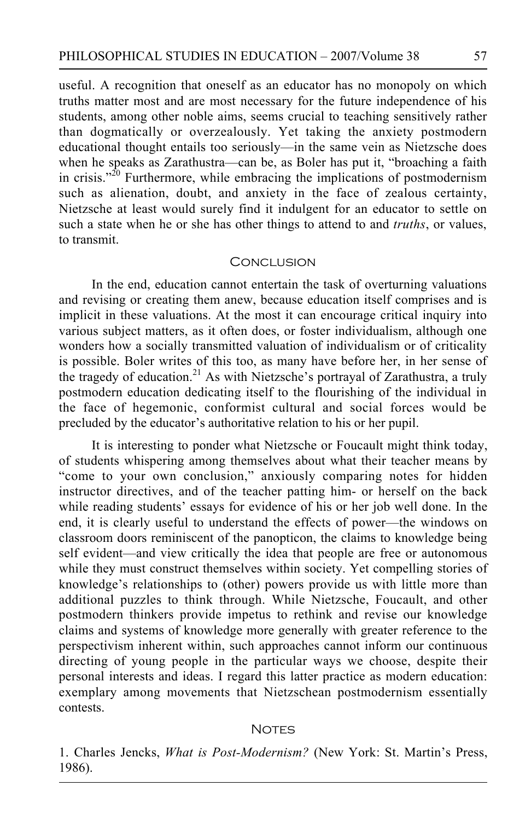useful. A recognition that oneself as an educator has no monopoly on which truths matter most and are most necessary for the future independence of his students, among other noble aims, seems crucial to teaching sensitively rather than dogmatically or overzealously. Yet taking the anxiety postmodern educational thought entails too seriously—in the same vein as Nietzsche does when he speaks as Zarathustra—can be, as Boler has put it, "broaching a faith in crisis." $^{20}$  Furthermore, while embracing the implications of postmodernism such as alienation, doubt, and anxiety in the face of zealous certainty, Nietzsche at least would surely find it indulgent for an educator to settle on such a state when he or she has other things to attend to and *truths*, or values, to transmit.

### **CONCLUSION**

In the end, education cannot entertain the task of overturning valuations and revising or creating them anew, because education itself comprises and is implicit in these valuations. At the most it can encourage critical inquiry into various subject matters, as it often does, or foster individualism, although one wonders how a socially transmitted valuation of individualism or of criticality is possible. Boler writes of this too, as many have before her, in her sense of the tragedy of education.<sup>21</sup> As with Nietzsche's portrayal of Zarathustra, a truly postmodern education dedicating itself to the flourishing of the individual in the face of hegemonic, conformist cultural and social forces would be precluded by the educator's authoritative relation to his or her pupil.

It is interesting to ponder what Nietzsche or Foucault might think today, of students whispering among themselves about what their teacher means by "come to your own conclusion," anxiously comparing notes for hidden instructor directives, and of the teacher patting him- or herself on the back while reading students' essays for evidence of his or her job well done. In the end, it is clearly useful to understand the effects of power—the windows on classroom doors reminiscent of the panopticon, the claims to knowledge being self evident—and view critically the idea that people are free or autonomous while they must construct themselves within society. Yet compelling stories of knowledge's relationships to (other) powers provide us with little more than additional puzzles to think through. While Nietzsche, Foucault, and other postmodern thinkers provide impetus to rethink and revise our knowledge claims and systems of knowledge more generally with greater reference to the perspectivism inherent within, such approaches cannot inform our continuous directing of young people in the particular ways we choose, despite their personal interests and ideas. I regard this latter practice as modern education: exemplary among movements that Nietzschean postmodernism essentially contests.

#### **NOTES**

1. Charles Jencks, *What is Post-Modernism?* (New York: St. Martin's Press, 1986).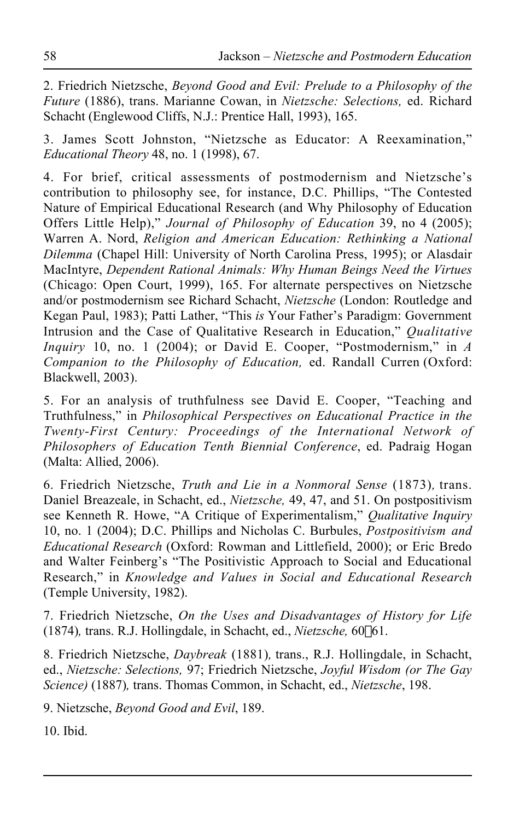2. Friedrich Nietzsche, *Beyond Good and Evil: Prelude to a Philosophy of the Future* (1886), trans. Marianne Cowan, in *Nietzsche: Selections,* ed. Richard Schacht (Englewood Cliffs, N.J.: Prentice Hall, 1993), 165.

3. James Scott Johnston, "Nietzsche as Educator: A Reexamination," *Educational Theory* 48, no. 1 (1998), 67.

4. For brief, critical assessments of postmodernism and Nietzsche's contribution to philosophy see, for instance, D.C. Phillips, "The Contested Nature of Empirical Educational Research (and Why Philosophy of Education Offers Little Help)," *Journal of Philosophy of Education* 39, no 4 (2005); Warren A. Nord, *Religion and American Education: Rethinking a National Dilemma* (Chapel Hill: University of North Carolina Press, 1995); or Alasdair MacIntyre, *Dependent Rational Animals: Why Human Beings Need the Virtues* (Chicago: Open Court, 1999), 165. For alternate perspectives on Nietzsche and/or postmodernism see Richard Schacht, *Nietzsche* (London: Routledge and Kegan Paul, 1983); Patti Lather, "This *is* Your Father's Paradigm: Government Intrusion and the Case of Qualitative Research in Education," *Qualitative Inquiry* 10, no. 1 (2004); or David E. Cooper, "Postmodernism," in *A Companion to the Philosophy of Education,* ed. Randall Curren (Oxford: Blackwell, 2003).

5. For an analysis of truthfulness see David E. Cooper, "Teaching and Truthfulness," in *Philosophical Perspectives on Educational Practice in the Twenty-First Century: Proceedings of the International Network of Philosophers of Education Tenth Biennial Conference*, ed. Padraig Hogan (Malta: Allied, 2006).

6. Friedrich Nietzsche, *Truth and Lie in a Nonmoral Sense* (1873)*,* trans. Daniel Breazeale, in Schacht, ed., *Nietzsche,* 49, 47, and 51. On postpositivism see Kenneth R. Howe, "A Critique of Experimentalism," *Qualitative Inquiry* 10, no. 1 (2004); D.C. Phillips and Nicholas C. Burbules, *Postpositivism and Educational Research* (Oxford: Rowman and Littlefield, 2000); or Eric Bredo and Walter Feinberg's "The Positivistic Approach to Social and Educational Research," in *Knowledge and Values in Social and Educational Research* (Temple University, 1982).

7. Friedrich Nietzsche, *On the Uses and Disadvantages of History for Life* (1874)*,* trans. R.J. Hollingdale, in Schacht, ed., *Nietzsche,* 60-61.

8. Friedrich Nietzsche, *Daybreak* (1881)*,* trans., R.J. Hollingdale, in Schacht, ed., *Nietzsche: Selections,* 97; Friedrich Nietzsche, *Joyful Wisdom (or The Gay Science)* (1887)*,* trans. Thomas Common, in Schacht, ed., *Nietzsche*, 198.

9. Nietzsche, *Beyond Good and Evil*, 189.

10. Ibid.